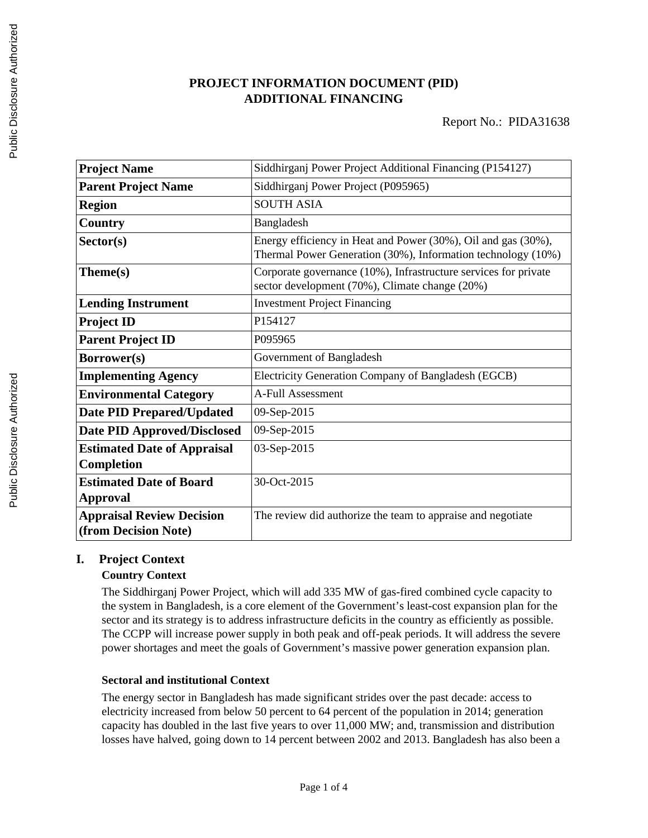# **PROJECT INFORMATION DOCUMENT (PID) ADDITIONAL FINANCING**

| <b>Project Name</b>                                      | Siddhirganj Power Project Additional Financing (P154127)                                                                      |  |  |
|----------------------------------------------------------|-------------------------------------------------------------------------------------------------------------------------------|--|--|
| <b>Parent Project Name</b>                               | Siddhirganj Power Project (P095965)                                                                                           |  |  |
| <b>Region</b>                                            | <b>SOUTH ASIA</b>                                                                                                             |  |  |
| Country                                                  | Bangladesh                                                                                                                    |  |  |
| Sector(s)                                                | Energy efficiency in Heat and Power (30%), Oil and gas (30%),<br>Thermal Power Generation (30%), Information technology (10%) |  |  |
| Theme(s)                                                 | Corporate governance (10%), Infrastructure services for private<br>sector development (70%), Climate change (20%)             |  |  |
| <b>Lending Instrument</b>                                | <b>Investment Project Financing</b>                                                                                           |  |  |
| <b>Project ID</b>                                        | P154127                                                                                                                       |  |  |
| <b>Parent Project ID</b>                                 | P095965                                                                                                                       |  |  |
| Borrower(s)                                              | Government of Bangladesh                                                                                                      |  |  |
| <b>Implementing Agency</b>                               | Electricity Generation Company of Bangladesh (EGCB)                                                                           |  |  |
| <b>Environmental Category</b>                            | A-Full Assessment                                                                                                             |  |  |
| <b>Date PID Prepared/Updated</b>                         | 09-Sep-2015                                                                                                                   |  |  |
| <b>Date PID Approved/Disclosed</b>                       | 09-Sep-2015                                                                                                                   |  |  |
| <b>Estimated Date of Appraisal</b><br><b>Completion</b>  | 03-Sep-2015                                                                                                                   |  |  |
| <b>Estimated Date of Board</b><br><b>Approval</b>        | 30-Oct-2015                                                                                                                   |  |  |
| <b>Appraisal Review Decision</b><br>(from Decision Note) | The review did authorize the team to appraise and negotiate                                                                   |  |  |

# **I. Project Context**

### **Country Context**

The Siddhirganj Power Project, which will add 335 MW of gas-fired combined cycle capacity to the system in Bangladesh, is a core element of the Government's least-cost expansion plan for the sector and its strategy is to address infrastructure deficits in the country as efficiently as possible. The CCPP will increase power supply in both peak and off-peak periods. It will address the severe power shortages and meet the goals of Government's massive power generation expansion plan.

### **Sectoral and institutional Context**

The energy sector in Bangladesh has made significant strides over the past decade: access to electricity increased from below 50 percent to 64 percent of the population in 2014; generation capacity has doubled in the last five years to over 11,000 MW; and, transmission and distribution losses have halved, going down to 14 percent between 2002 and 2013. Bangladesh has also been a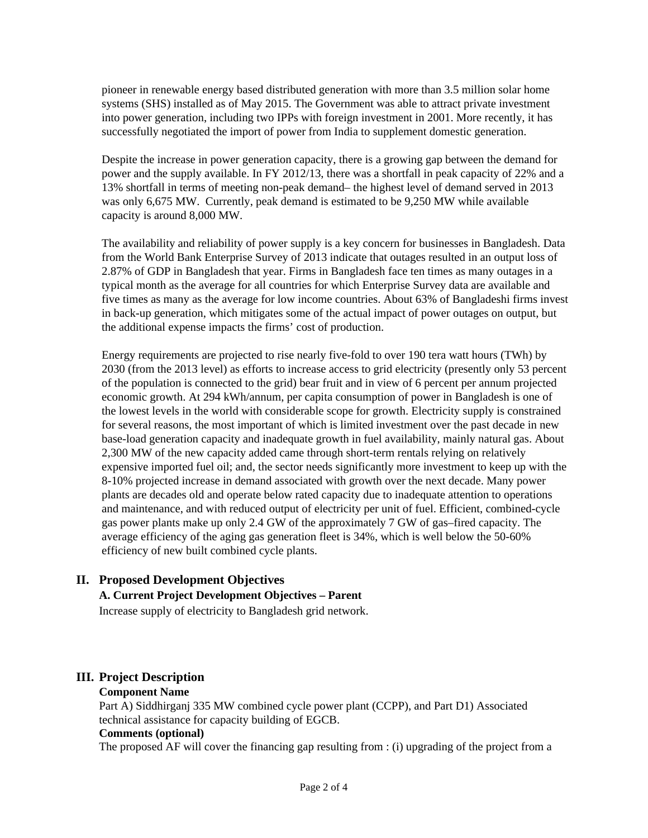pioneer in renewable energy based distributed generation with more than 3.5 million solar home systems (SHS) installed as of May 2015. The Government was able to attract private investment into power generation, including two IPPs with foreign investment in 2001. More recently, it has successfully negotiated the import of power from India to supplement domestic generation.

Despite the increase in power generation capacity, there is a growing gap between the demand for power and the supply available. In FY 2012/13, there was a shortfall in peak capacity of 22% and a 13% shortfall in terms of meeting non-peak demand– the highest level of demand served in 2013 was only 6,675 MW. Currently, peak demand is estimated to be 9,250 MW while available capacity is around 8,000 MW.

The availability and reliability of power supply is a key concern for businesses in Bangladesh. Data from the World Bank Enterprise Survey of 2013 indicate that outages resulted in an output loss of 2.87% of GDP in Bangladesh that year. Firms in Bangladesh face ten times as many outages in a typical month as the average for all countries for which Enterprise Survey data are available and five times as many as the average for low income countries. About 63% of Bangladeshi firms invest in back-up generation, which mitigates some of the actual impact of power outages on output, but the additional expense impacts the firms' cost of production.

Energy requirements are projected to rise nearly five-fold to over 190 tera watt hours (TWh) by 2030 (from the 2013 level) as efforts to increase access to grid electricity (presently only 53 percent of the population is connected to the grid) bear fruit and in view of 6 percent per annum projected economic growth. At 294 kWh/annum, per capita consumption of power in Bangladesh is one of the lowest levels in the world with considerable scope for growth. Electricity supply is constrained for several reasons, the most important of which is limited investment over the past decade in new base-load generation capacity and inadequate growth in fuel availability, mainly natural gas. About 2,300 MW of the new capacity added came through short-term rentals relying on relatively expensive imported fuel oil; and, the sector needs significantly more investment to keep up with the 8-10% projected increase in demand associated with growth over the next decade. Many power plants are decades old and operate below rated capacity due to inadequate attention to operations and maintenance, and with reduced output of electricity per unit of fuel. Efficient, combined-cycle gas power plants make up only 2.4 GW of the approximately 7 GW of gas–fired capacity. The average efficiency of the aging gas generation fleet is 34%, which is well below the 50-60% efficiency of new built combined cycle plants.

# **II. Proposed Development Objectives**

#### **A. Current Project Development Objectives – Parent**

Increase supply of electricity to Bangladesh grid network.

#### **III. Project Description**

#### **Component Name**

Part A) Siddhirganj 335 MW combined cycle power plant (CCPP), and Part D1) Associated technical assistance for capacity building of EGCB.

#### **Comments (optional)**

The proposed AF will cover the financing gap resulting from : (i) upgrading of the project from a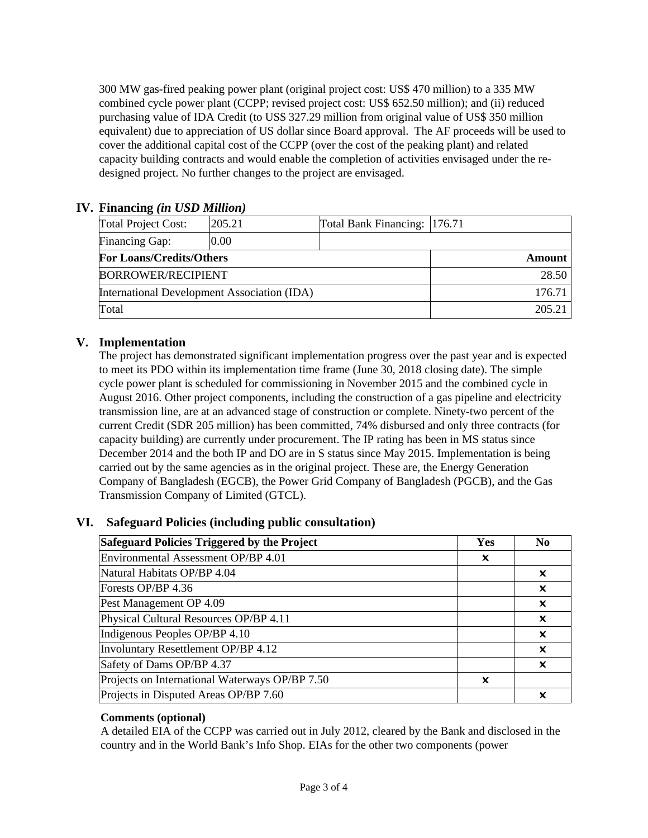300 MW gas-fired peaking power plant (original project cost: US\$ 470 million) to a 335 MW combined cycle power plant (CCPP; revised project cost: US\$ 652.50 million); and (ii) reduced purchasing value of IDA Credit (to US\$ 327.29 million from original value of US\$ 350 million equivalent) due to appreciation of US dollar since Board approval. The AF proceeds will be used to cover the additional capital cost of the CCPP (over the cost of the peaking plant) and related capacity building contracts and would enable the completion of activities envisaged under the redesigned project. No further changes to the project are envisaged.

## **IV. Financing** *(in USD Million)*

| Total Project Cost:                         | 205.21 | Total Bank Financing: 176.71 |        |
|---------------------------------------------|--------|------------------------------|--------|
| <b>Financing Gap:</b>                       | 0.00   |                              |        |
| <b>For Loans/Credits/Others</b>             |        | Amount                       |        |
| <b>BORROWER/RECIPIENT</b>                   |        |                              | 28.50  |
| International Development Association (IDA) |        |                              | 176.71 |
| Total                                       |        | 205.21                       |        |

# **V. Implementation**

The project has demonstrated significant implementation progress over the past year and is expected to meet its PDO within its implementation time frame (June 30, 2018 closing date). The simple cycle power plant is scheduled for commissioning in November 2015 and the combined cycle in August 2016. Other project components, including the construction of a gas pipeline and electricity transmission line, are at an advanced stage of construction or complete. Ninety-two percent of the current Credit (SDR 205 million) has been committed, 74% disbursed and only three contracts (for capacity building) are currently under procurement. The IP rating has been in MS status since December 2014 and the both IP and DO are in S status since May 2015. Implementation is being carried out by the same agencies as in the original project. These are, the Energy Generation Company of Bangladesh (EGCB), the Power Grid Company of Bangladesh (PGCB), and the Gas Transmission Company of Limited (GTCL).

# **VI. Safeguard Policies (including public consultation)**

| Safeguard Policies Triggered by the Project    |                           | N <sub>0</sub>            |
|------------------------------------------------|---------------------------|---------------------------|
| Environmental Assessment OP/BP 4.01            | X                         |                           |
| Natural Habitats OP/BP 4.04                    |                           | x                         |
| Forests OP/BP 4.36                             |                           | x                         |
| Pest Management OP 4.09                        |                           | x                         |
| Physical Cultural Resources OP/BP 4.11         |                           | $\boldsymbol{\mathsf{x}}$ |
| Indigenous Peoples OP/BP 4.10                  |                           | x                         |
| Involuntary Resettlement OP/BP 4.12            |                           | x                         |
| Safety of Dams OP/BP 4.37                      |                           | X                         |
| Projects on International Waterways OP/BP 7.50 | $\boldsymbol{\mathsf{x}}$ |                           |
| Projects in Disputed Areas OP/BP 7.60          |                           | x                         |

### **Comments (optional)**

A detailed EIA of the CCPP was carried out in July 2012, cleared by the Bank and disclosed in the country and in the World Bank's Info Shop. EIAs for the other two components (power